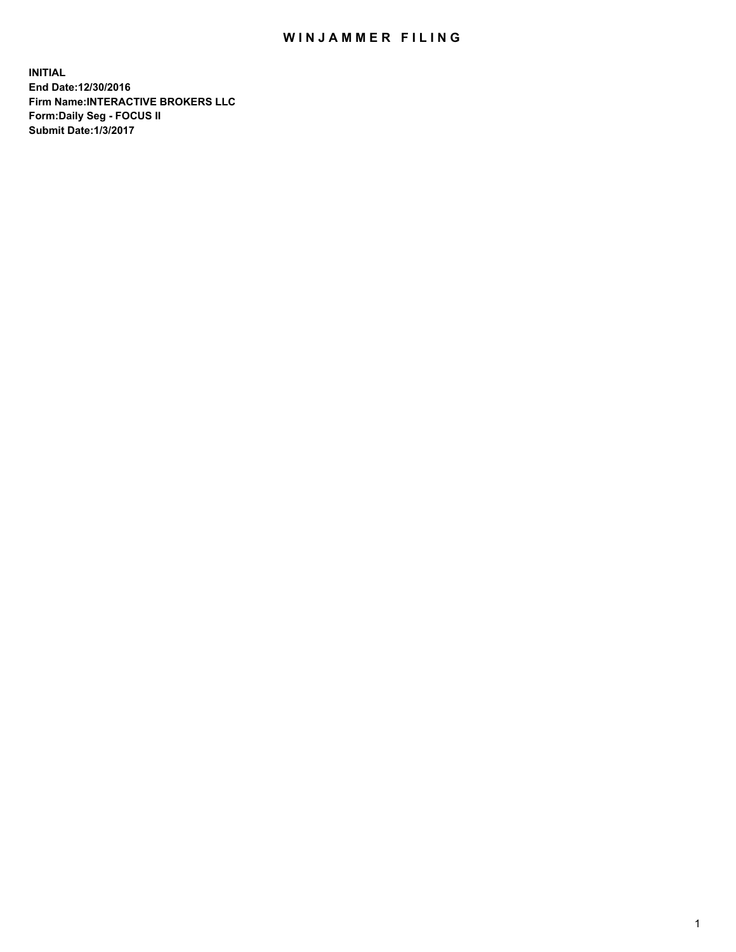## WIN JAMMER FILING

**INITIAL End Date:12/30/2016 Firm Name:INTERACTIVE BROKERS LLC Form:Daily Seg - FOCUS II Submit Date:1/3/2017**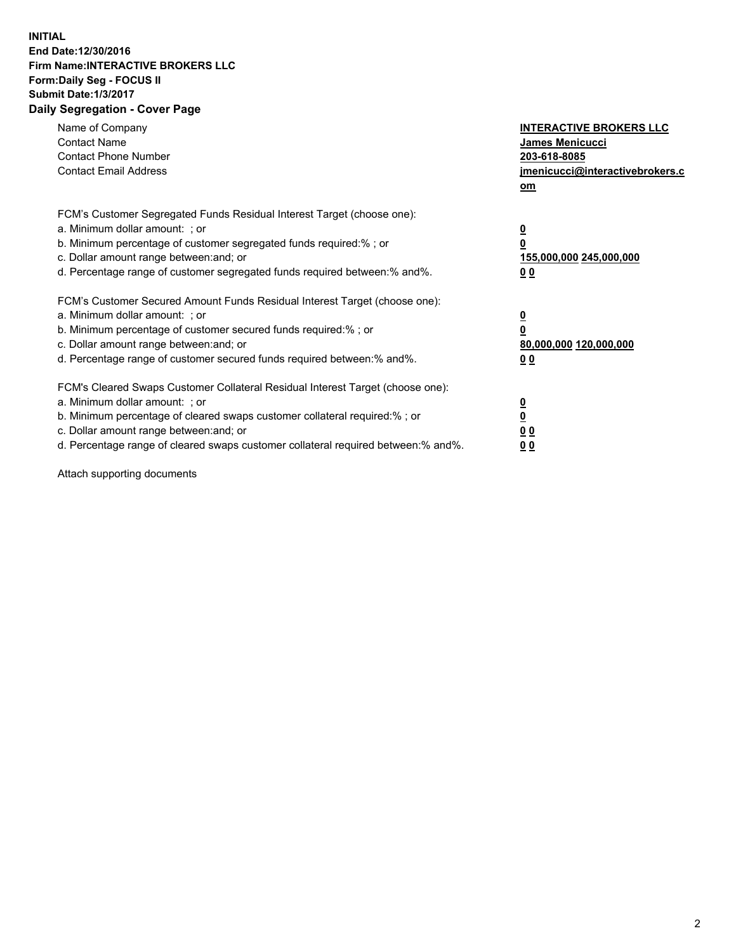## **INITIAL End Date:12/30/2016 Firm Name:INTERACTIVE BROKERS LLC Form:Daily Seg - FOCUS II Submit Date:1/3/2017 Daily Segregation - Cover Page**

| Name of Company<br><b>Contact Name</b><br><b>Contact Phone Number</b><br><b>Contact Email Address</b>                                                                                                                                                                                                                          | <b>INTERACTIVE BROKERS LLC</b><br><b>James Menicucci</b><br>203-618-8085<br>jmenicucci@interactivebrokers.c<br>om |
|--------------------------------------------------------------------------------------------------------------------------------------------------------------------------------------------------------------------------------------------------------------------------------------------------------------------------------|-------------------------------------------------------------------------------------------------------------------|
| FCM's Customer Segregated Funds Residual Interest Target (choose one):<br>a. Minimum dollar amount: ; or<br>b. Minimum percentage of customer segregated funds required:%; or<br>c. Dollar amount range between: and; or<br>d. Percentage range of customer segregated funds required between:% and%.                          | $\overline{\mathbf{0}}$<br>0<br>155,000,000 245,000,000<br>0 <sub>0</sub>                                         |
| FCM's Customer Secured Amount Funds Residual Interest Target (choose one):<br>a. Minimum dollar amount: ; or<br>b. Minimum percentage of customer secured funds required:%; or<br>c. Dollar amount range between: and; or<br>d. Percentage range of customer secured funds required between: % and %.                          | $\overline{\mathbf{0}}$<br>0<br>80,000,000 120,000,000<br>0 <sub>0</sub>                                          |
| FCM's Cleared Swaps Customer Collateral Residual Interest Target (choose one):<br>a. Minimum dollar amount: ; or<br>b. Minimum percentage of cleared swaps customer collateral required:% ; or<br>c. Dollar amount range between: and; or<br>d. Percentage range of cleared swaps customer collateral required between:% and%. | $\overline{\mathbf{0}}$<br>$\overline{\mathbf{0}}$<br>0 <sub>0</sub><br><u>00</u>                                 |

Attach supporting documents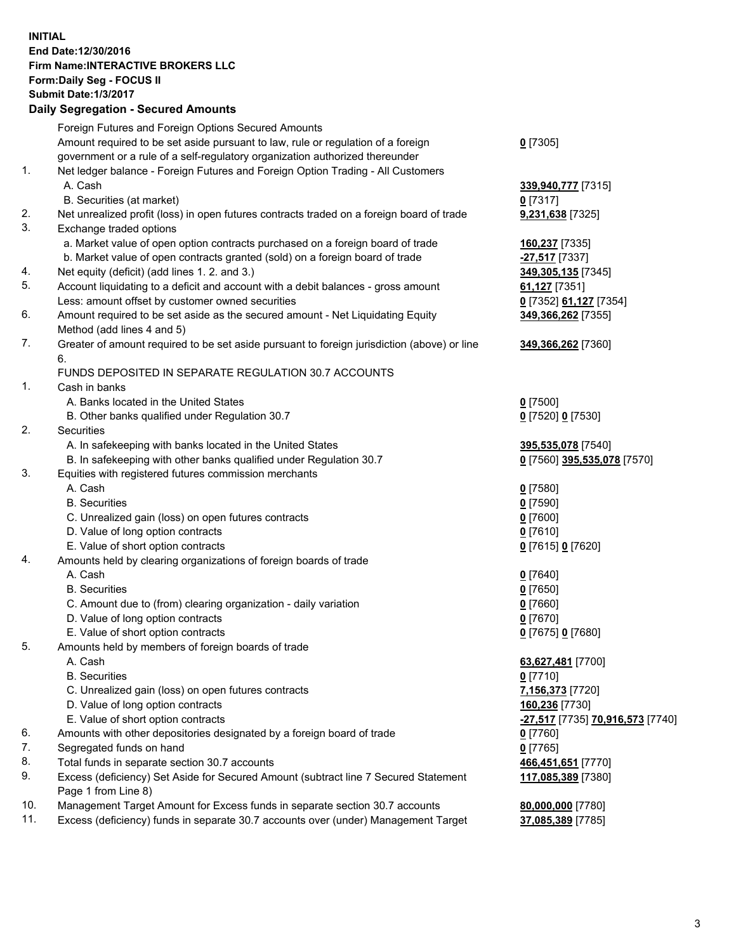**INITIAL End Date:12/30/2016 Firm Name:INTERACTIVE BROKERS LLC Form:Daily Seg - FOCUS II Submit Date:1/3/2017 Daily Segregation - Secured Amounts**

|     | Foreign Futures and Foreign Options Secured Amounts                                                        |                                                      |
|-----|------------------------------------------------------------------------------------------------------------|------------------------------------------------------|
|     | Amount required to be set aside pursuant to law, rule or regulation of a foreign                           | $0$ [7305]                                           |
|     | government or a rule of a self-regulatory organization authorized thereunder                               |                                                      |
| 1.  | Net ledger balance - Foreign Futures and Foreign Option Trading - All Customers                            |                                                      |
|     | A. Cash                                                                                                    | 339,940,777 [7315]                                   |
|     | B. Securities (at market)                                                                                  | 0 [7317]                                             |
| 2.  | Net unrealized profit (loss) in open futures contracts traded on a foreign board of trade                  | 9,231,638 [7325]                                     |
| 3.  | Exchange traded options                                                                                    |                                                      |
|     | a. Market value of open option contracts purchased on a foreign board of trade                             | 160,237 [7335]                                       |
|     | b. Market value of open contracts granted (sold) on a foreign board of trade                               | -27,517 [7337]                                       |
| 4.  | Net equity (deficit) (add lines 1. 2. and 3.)                                                              | 349, 305, 135 [7345]                                 |
| 5.  | Account liquidating to a deficit and account with a debit balances - gross amount                          | 61,127 [7351]                                        |
|     | Less: amount offset by customer owned securities                                                           | 0 [7352] 61,127 [7354]                               |
| 6.  | Amount required to be set aside as the secured amount - Net Liquidating Equity                             | 349,366,262 [7355]                                   |
|     | Method (add lines 4 and 5)                                                                                 |                                                      |
| 7.  | Greater of amount required to be set aside pursuant to foreign jurisdiction (above) or line                | 349,366,262 [7360]                                   |
|     | 6.                                                                                                         |                                                      |
|     | FUNDS DEPOSITED IN SEPARATE REGULATION 30.7 ACCOUNTS                                                       |                                                      |
| 1.  | Cash in banks                                                                                              |                                                      |
|     | A. Banks located in the United States                                                                      | $0$ [7500]                                           |
|     | B. Other banks qualified under Regulation 30.7                                                             | 0 [7520] 0 [7530]                                    |
| 2.  | Securities                                                                                                 |                                                      |
|     | A. In safekeeping with banks located in the United States                                                  | 395,535,078 [7540]                                   |
|     | B. In safekeeping with other banks qualified under Regulation 30.7                                         | 0 [7560] 395,535,078 [7570]                          |
| 3.  | Equities with registered futures commission merchants                                                      |                                                      |
|     | A. Cash                                                                                                    | $0$ [7580]                                           |
|     | <b>B.</b> Securities                                                                                       | $0$ [7590]                                           |
|     | C. Unrealized gain (loss) on open futures contracts                                                        | $0$ [7600]                                           |
|     | D. Value of long option contracts                                                                          | $0$ [7610]                                           |
|     | E. Value of short option contracts                                                                         | 0 [7615] 0 [7620]                                    |
| 4.  | Amounts held by clearing organizations of foreign boards of trade                                          |                                                      |
|     | A. Cash                                                                                                    | $0$ [7640]                                           |
|     | <b>B.</b> Securities                                                                                       | $0$ [7650]                                           |
|     | C. Amount due to (from) clearing organization - daily variation                                            | $0$ [7660]                                           |
|     | D. Value of long option contracts                                                                          | $0$ [7670]                                           |
|     | E. Value of short option contracts                                                                         | 0 [7675] 0 [7680]                                    |
| 5.  | Amounts held by members of foreign boards of trade                                                         |                                                      |
|     | A. Cash                                                                                                    | 63,627,481 [7700]                                    |
|     | <b>B.</b> Securities                                                                                       | $0$ [7710]                                           |
|     | C. Unrealized gain (loss) on open futures contracts                                                        | 7,156,373 [7720]                                     |
|     | D. Value of long option contracts                                                                          | 160,236 [7730]                                       |
|     | E. Value of short option contracts                                                                         | <mark>-27,517</mark> [7735] <b>70,916,573</b> [7740] |
| 6.  | Amounts with other depositories designated by a foreign board of trade                                     | $0$ [7760]                                           |
| 7.  | Segregated funds on hand                                                                                   | $0$ [7765]                                           |
| 8.  | Total funds in separate section 30.7 accounts                                                              | 466,451,651 [7770]                                   |
| 9.  | Excess (deficiency) Set Aside for Secured Amount (subtract line 7 Secured Statement<br>Page 1 from Line 8) | 117,085,389 [7380]                                   |
| 10. | Management Target Amount for Excess funds in separate section 30.7 accounts                                | 80,000,000 [7780]                                    |
| 11. | Excess (deficiency) funds in separate 30.7 accounts over (under) Management Target                         | 37,085,389 [7785]                                    |
|     |                                                                                                            |                                                      |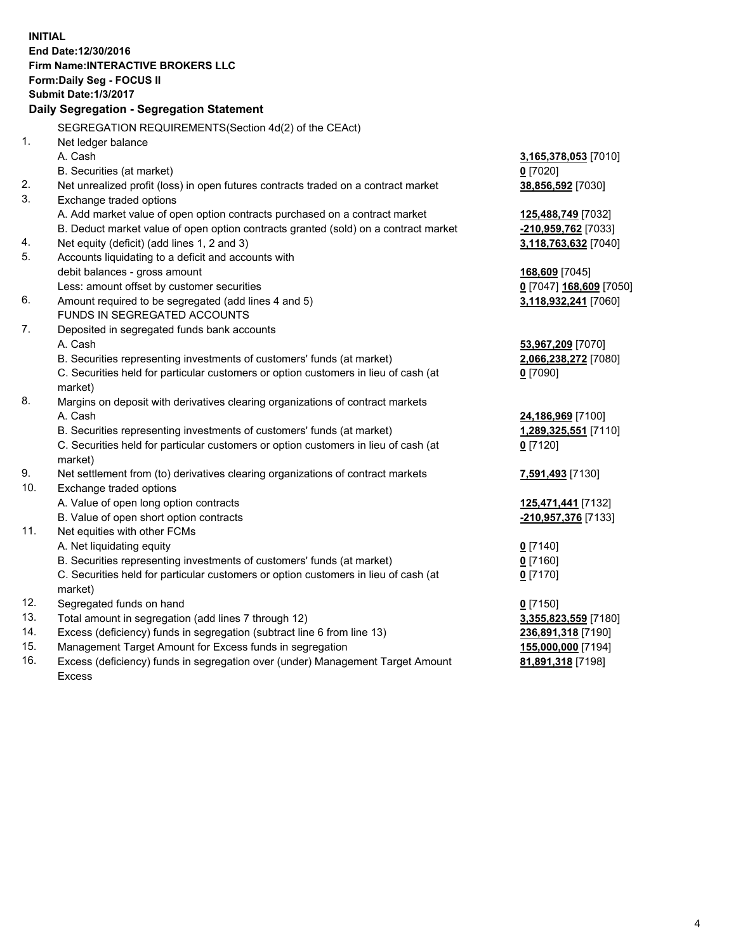**INITIAL End Date:12/30/2016 Firm Name:INTERACTIVE BROKERS LLC Form:Daily Seg - FOCUS II Submit Date:1/3/2017 Daily Segregation - Segregation Statement** SEGREGATION REQUIREMENTS(Section 4d(2) of the CEAct) 1. Net ledger balance A. Cash **3,165,378,053** [7010] B. Securities (at market) **0** [7020] 2. Net unrealized profit (loss) in open futures contracts traded on a contract market **38,856,592** [7030] 3. Exchange traded options A. Add market value of open option contracts purchased on a contract market **125,488,749** [7032] B. Deduct market value of open option contracts granted (sold) on a contract market **-210,959,762** [7033] 4. Net equity (deficit) (add lines 1, 2 and 3) **3,118,763,632** [7040] 5. Accounts liquidating to a deficit and accounts with debit balances - gross amount **168,609** [7045] Less: amount offset by customer securities **0** [7047] **168,609** [7050] 6. Amount required to be segregated (add lines 4 and 5) **3,118,932,241** [7060] FUNDS IN SEGREGATED ACCOUNTS 7. Deposited in segregated funds bank accounts A. Cash **53,967,209** [7070] B. Securities representing investments of customers' funds (at market) **2,066,238,272** [7080] C. Securities held for particular customers or option customers in lieu of cash (at market) **0** [7090] 8. Margins on deposit with derivatives clearing organizations of contract markets A. Cash **24,186,969** [7100] B. Securities representing investments of customers' funds (at market) **1,289,325,551** [7110] C. Securities held for particular customers or option customers in lieu of cash (at market) **0** [7120] 9. Net settlement from (to) derivatives clearing organizations of contract markets **7,591,493** [7130] 10. Exchange traded options A. Value of open long option contracts **125,471,441** [7132] B. Value of open short option contracts **-210,957,376** [7133] 11. Net equities with other FCMs A. Net liquidating equity **0** [7140] B. Securities representing investments of customers' funds (at market) **0** [7160] C. Securities held for particular customers or option customers in lieu of cash (at market) **0** [7170] 12. Segregated funds on hand **0** [7150] 13. Total amount in segregation (add lines 7 through 12) **3,355,823,559** [7180] 14. Excess (deficiency) funds in segregation (subtract line 6 from line 13) **236,891,318** [7190] 15. Management Target Amount for Excess funds in segregation **155,000,000** [7194] **81,891,318** [7198]

16. Excess (deficiency) funds in segregation over (under) Management Target Amount Excess